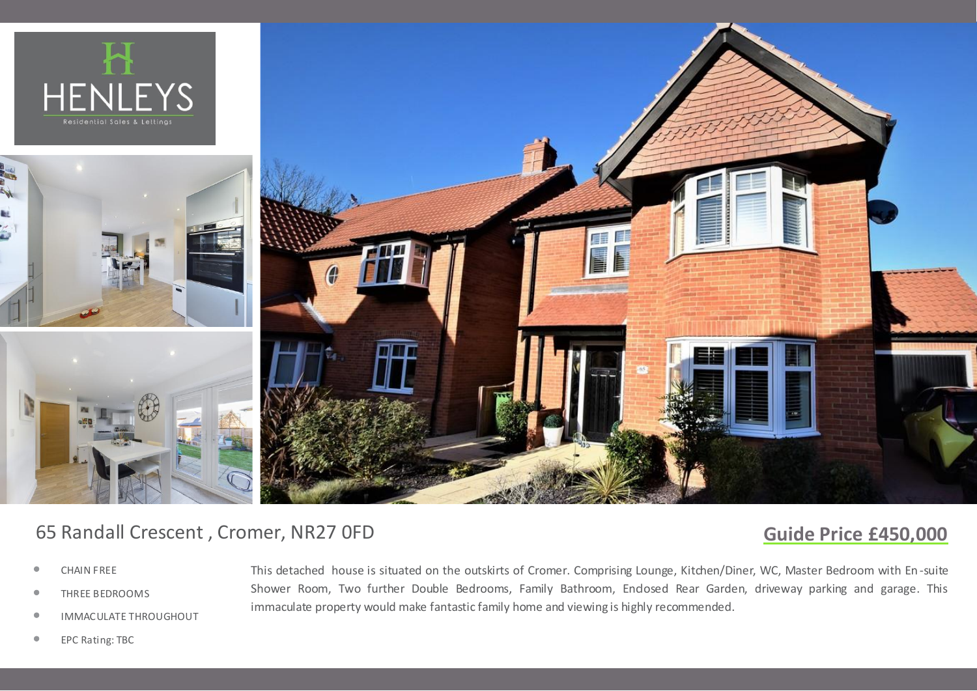

# 65 Randall Crescent , Cromer, NR27 0FD

## **Guide Price £450,000**

- *•* CHAIN FREE
- *•* THREE BEDROOMS
- *•* IMMACULATE THROUGHOUT

This detached house is situated on the outskirts of Cromer. Comprising Lounge, Kitchen/Diner, WC, Master Bedroom with En-suite Shower Room, Two further Double Bedrooms, Family Bathroom, Endosed Rear Garden, driveway parking and garage. This immaculate property would make fantastic family home and viewing is highly recommended.

*•* EPC Rating: TBC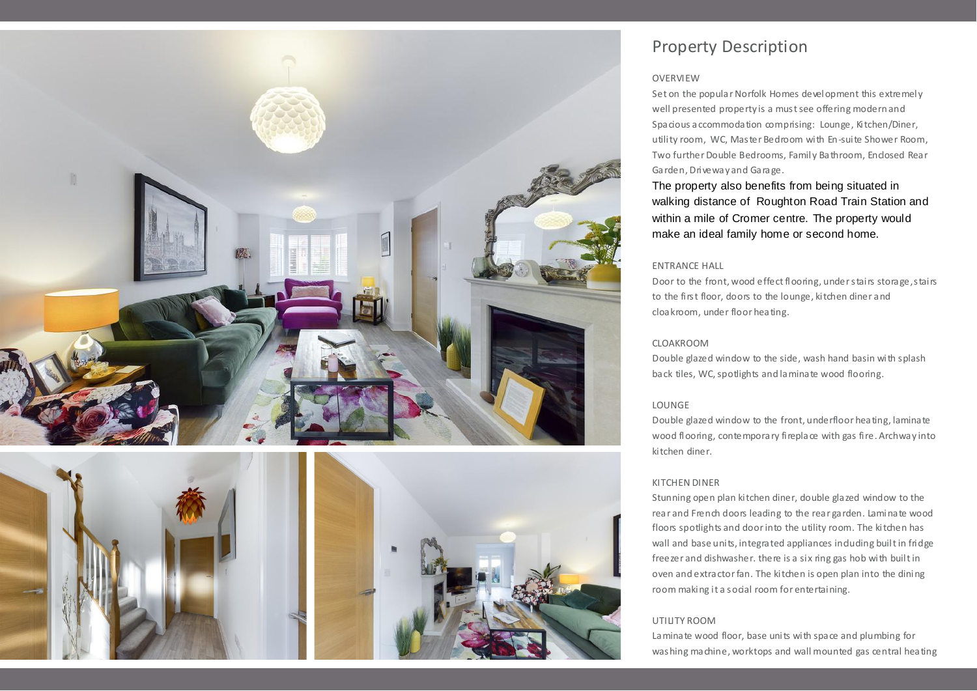



### Property Description

#### **OVERVIEW**

Set on the popular Norfolk Homes development this extremely well presented property is a must see offering modern and Spacious accommodation comprising: Lounge, Kitchen/Diner, utility room, WC, Master Bedroom with En-suite Shower Room, Two further Double Bedrooms, Family Bathroom, Endosed Rear Garden, Driveway and Garage.

The property also benefits from being situated in walking distance of Roughton Road Train Station and within a mile of Cromer centre. The property would make an ideal family home or second home.

#### ENTRANCE HALL

Door to the front, wood effect flooring, under stairs storage, stairs to the first floor, doors to the lounge, kitchen diner and cloakroom, under floor heating.

#### CLOAKROOM

Double glazed window to the side, wash hand basin with splash back tiles, WC, spotlights and laminate wood flooring.

#### LOUNGE

Double glazed window to the front, underfloor heating, laminate wood flooring, contemporary fireplace with gas fire. Archway into kitchen diner.

#### KITCHEN DINER

Stunning open plan kitchen diner, double glazed window to the rear and French doors leading to the rear garden. Laminate wood floors spotlights and door into the utility room. The kitchen has wall and base units, integrated appliances induding built in fridge freezer and dishwasher. there is a six ring gas hob with built in oven and extractor fan. The kitchen is open plan into the dining room making it a social room for entertaining.

#### UTILITY ROOM

Laminate wood floor, base units with space and plumbing for washing machine, worktops and wall mounted gas central heating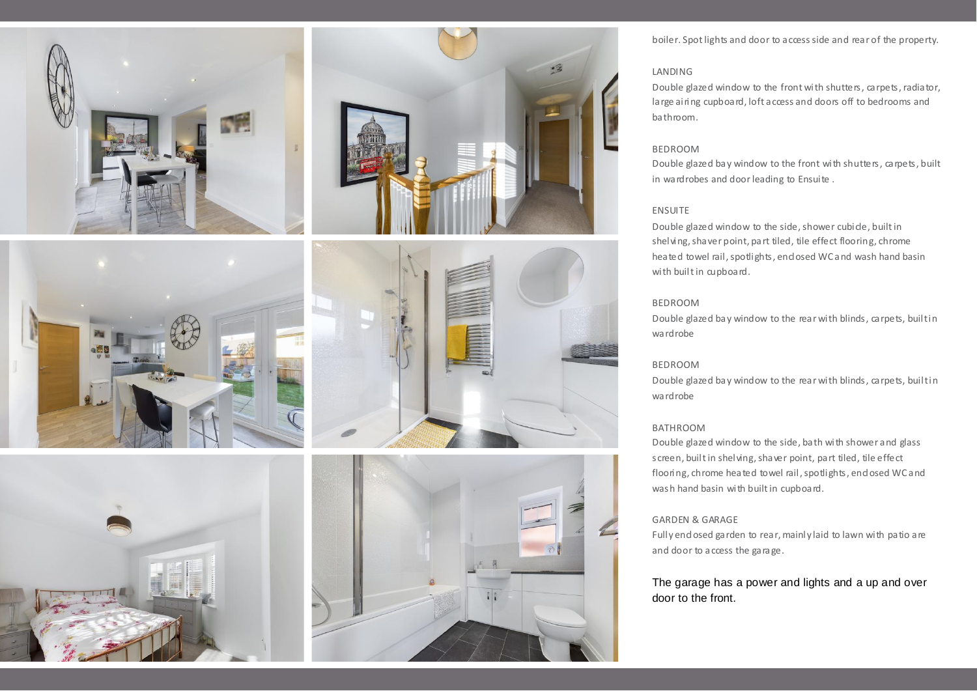







#### LANDING

ৰৱ

Double glazed window to the front with shutters, carpets, radiator, large airing cupboard, loft access and doors off to bedrooms and bathroom.

#### BEDROOM

Double glazed bay window to the front with shutters, carpets, built in wardrobes and door leading to Ensuite .

#### ENSUITE

Double glazed window to the side, shower cubide, built in shelving, shaver point, part tiled, tile effect flooring, chrome heated towel rail, spotlights, end osed WC and wash hand basin with built in cupboard.

#### BEDROOM

Double glazed bay window to the rear with blinds, carpets, builtin wardrobe

#### BEDROOM

Double glazed bay window to the rear with blinds, carpets, builtin wardrobe

#### BATHROOM

Double glazed window to the side, bath with shower and glass screen, built in shelving, shaver point, part tiled, tile effect flooring, chrome heated towel rail, spotlights, end osed WC and wash hand basin with built in cupboard.

#### GARDEN & GARAGE

Fully end osed garden to rear, mainly laid to lawn with patio are and door to access the garage.

### The garage has a power and lights and a up and over door to the front.